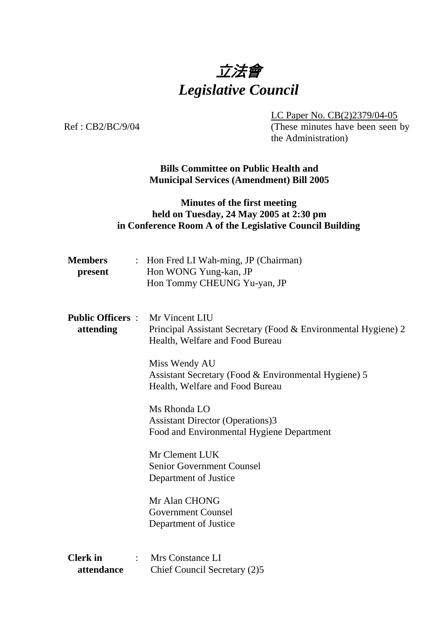

LC Paper No. CB(2)2379/04-05

Ref : CB2/BC/9/04 (These minutes have been seen by the Administration)

> **Bills Committee on Public Health and Municipal Services (Amendment) Bill 2005**

## **Minutes of the first meeting held on Tuesday, 24 May 2005 at 2:30 pm in Conference Room A of the Legislative Council Building**

| <b>Members</b><br>present            | : Hon Fred LI Wah-ming, JP (Chairman)<br>Hon WONG Yung-kan, JP<br>Hon Tommy CHEUNG Yu-yan, JP                       |
|--------------------------------------|---------------------------------------------------------------------------------------------------------------------|
| <b>Public Officers:</b><br>attending | Mr Vincent LIU<br>Principal Assistant Secretary (Food & Environmental Hygiene) 2<br>Health, Welfare and Food Bureau |
|                                      | Miss Wendy AU<br>Assistant Secretary (Food & Environmental Hygiene) 5<br>Health, Welfare and Food Bureau            |
|                                      | Ms Rhonda LO<br><b>Assistant Director (Operations)3</b><br>Food and Environmental Hygiene Department                |
|                                      | Mr Clement LUK<br>Senior Government Counsel<br>Department of Justice                                                |
|                                      | Mr Alan CHONG<br><b>Government Counsel</b><br>Department of Justice                                                 |
| <b>Clerk</b> in<br>attendance        | Mrs Constance LI<br>$\ddot{\cdot}$<br>Chief Council Secretary (2)5                                                  |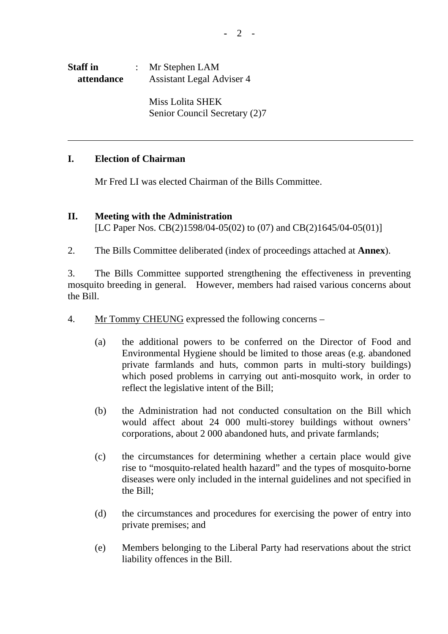| <b>Staff</b> in |  | Mr Stephen LAM                   |  |
|-----------------|--|----------------------------------|--|
| attendance      |  | <b>Assistant Legal Adviser 4</b> |  |

Miss Lolita SHEK Senior Council Secretary (2)7

## **I. Election of Chairman**

1. Mr Fred LI was elected Chairman of the Bills Committee.

## **II. Meeting with the Administration**  [LC Paper Nos. CB(2)1598/04-05(02) to (07) and CB(2)1645/04-05(01)]

2. The Bills Committee deliberated (index of proceedings attached at **Annex**).

3. The Bills Committee supported strengthening the effectiveness in preventing mosquito breeding in general. However, members had raised various concerns about the Bill.

- 4. Mr Tommy CHEUNG expressed the following concerns
	- (a) the additional powers to be conferred on the Director of Food and Environmental Hygiene should be limited to those areas (e.g. abandoned private farmlands and huts, common parts in multi-story buildings) which posed problems in carrying out anti-mosquito work, in order to reflect the legislative intent of the Bill;
	- (b) the Administration had not conducted consultation on the Bill which would affect about 24 000 multi-storey buildings without owners' corporations, about 2 000 abandoned huts, and private farmlands;
	- (c) the circumstances for determining whether a certain place would give rise to "mosquito-related health hazard" and the types of mosquito-borne diseases were only included in the internal guidelines and not specified in the Bill;
	- (d) the circumstances and procedures for exercising the power of entry into private premises; and
	- (e) Members belonging to the Liberal Party had reservations about the strict liability offences in the Bill.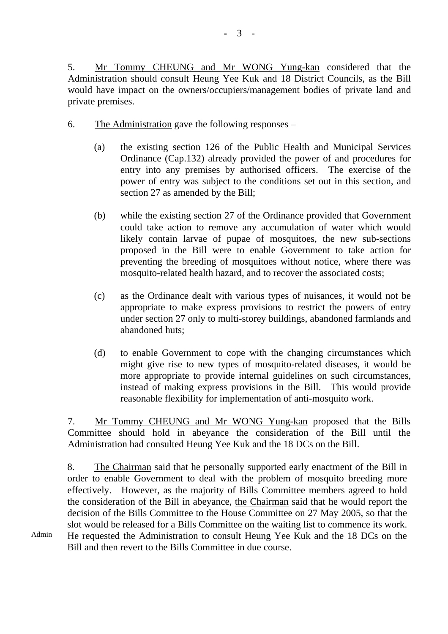5. Mr Tommy CHEUNG and Mr WONG Yung-kan considered that the Administration should consult Heung Yee Kuk and 18 District Councils, as the Bill would have impact on the owners/occupiers/management bodies of private land and private premises.

**-** 3 -

- 6. The Administration gave the following responses
	- (a) the existing section 126 of the Public Health and Municipal Services Ordinance (Cap.132) already provided the power of and procedures for entry into any premises by authorised officers. The exercise of the power of entry was subject to the conditions set out in this section, and section 27 as amended by the Bill;
	- (b) while the existing section 27 of the Ordinance provided that Government could take action to remove any accumulation of water which would likely contain larvae of pupae of mosquitoes, the new sub-sections proposed in the Bill were to enable Government to take action for preventing the breeding of mosquitoes without notice, where there was mosquito-related health hazard, and to recover the associated costs;
	- (c) as the Ordinance dealt with various types of nuisances, it would not be appropriate to make express provisions to restrict the powers of entry under section 27 only to multi-storey buildings, abandoned farmlands and abandoned huts;
	- (d) to enable Government to cope with the changing circumstances which might give rise to new types of mosquito-related diseases, it would be more appropriate to provide internal guidelines on such circumstances, instead of making express provisions in the Bill. This would provide reasonable flexibility for implementation of anti-mosquito work.

7. Mr Tommy CHEUNG and Mr WONG Yung-kan proposed that the Bills Committee should hold in abeyance the consideration of the Bill until the Administration had consulted Heung Yee Kuk and the 18 DCs on the Bill.

8. The Chairman said that he personally supported early enactment of the Bill in order to enable Government to deal with the problem of mosquito breeding more effectively. However, as the majority of Bills Committee members agreed to hold the consideration of the Bill in abeyance, the Chairman said that he would report the decision of the Bills Committee to the House Committee on 27 May 2005, so that the slot would be released for a Bills Committee on the waiting list to commence its work. He requested the Administration to consult Heung Yee Kuk and the 18 DCs on the Bill and then revert to the Bills Committee in due course.

Admin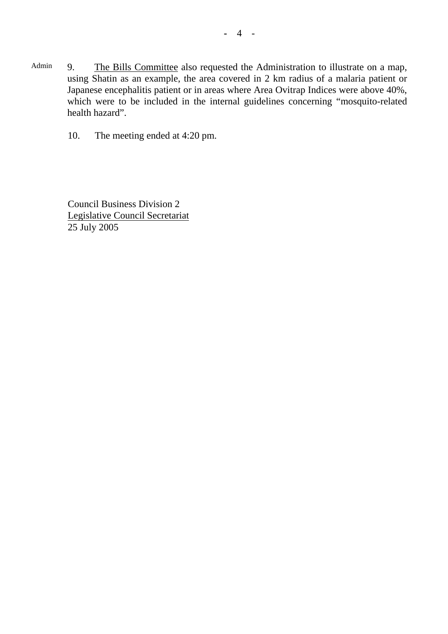- Admin 9. The Bills Committee also requested the Administration to illustrate on a map, using Shatin as an example, the area covered in 2 km radius of a malaria patient or Japanese encephalitis patient or in areas where Area Ovitrap Indices were above 40%, which were to be included in the internal guidelines concerning "mosquito-related health hazard".
	- 10. The meeting ended at 4:20 pm.

Council Business Division 2 Legislative Council Secretariat 25 July 2005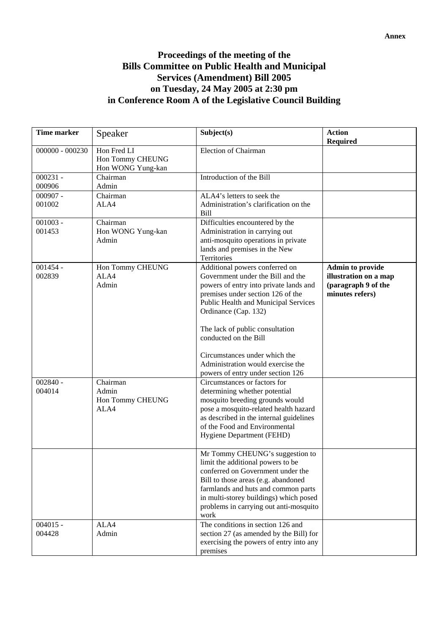## **Proceedings of the meeting of the Bills Committee on Public Health and Municipal Services (Amendment) Bill 2005 on Tuesday, 24 May 2005 at 2:30 pm in Conference Room A of the Legislative Council Building**

| <b>Time marker</b>   | Speaker                                              | Subject(s)                                                                                                                                                                                                                                                                                                                                                                                                                                                                              | <b>Action</b><br><b>Required</b>                                                           |
|----------------------|------------------------------------------------------|-----------------------------------------------------------------------------------------------------------------------------------------------------------------------------------------------------------------------------------------------------------------------------------------------------------------------------------------------------------------------------------------------------------------------------------------------------------------------------------------|--------------------------------------------------------------------------------------------|
| $000000 - 000230$    | Hon Fred LI<br>Hon Tommy CHEUNG<br>Hon WONG Yung-kan | Election of Chairman                                                                                                                                                                                                                                                                                                                                                                                                                                                                    |                                                                                            |
| $000231 -$<br>000906 | Chairman<br>Admin                                    | Introduction of the Bill                                                                                                                                                                                                                                                                                                                                                                                                                                                                |                                                                                            |
| $000907 -$<br>001002 | Chairman<br>ALA4                                     | ALA4's letters to seek the<br>Administration's clarification on the<br><b>Bill</b>                                                                                                                                                                                                                                                                                                                                                                                                      |                                                                                            |
| $001003 -$<br>001453 | Chairman<br>Hon WONG Yung-kan<br>Admin               | Difficulties encountered by the<br>Administration in carrying out<br>anti-mosquito operations in private<br>lands and premises in the New<br>Territories                                                                                                                                                                                                                                                                                                                                |                                                                                            |
| $001454 -$<br>002839 | Hon Tommy CHEUNG<br>ALA4<br>Admin                    | Additional powers conferred on<br>Government under the Bill and the<br>powers of entry into private lands and<br>premises under section 126 of the<br>Public Health and Municipal Services<br>Ordinance (Cap. 132)<br>The lack of public consultation<br>conducted on the Bill<br>Circumstances under which the<br>Administration would exercise the<br>powers of entry under section 126                                                                                               | <b>Admin to provide</b><br>illustration on a map<br>(paragraph 9 of the<br>minutes refers) |
| $002840 -$<br>004014 | Chairman<br>Admin<br>Hon Tommy CHEUNG<br>ALA4        | Circumstances or factors for<br>determining whether potential<br>mosquito breeding grounds would<br>pose a mosquito-related health hazard<br>as described in the internal guidelines<br>of the Food and Environmental<br>Hygiene Department (FEHD)<br>Mr Tommy CHEUNG's suggestion to<br>limit the additional powers to be<br>conferred on Government under the<br>Bill to those areas (e.g. abandoned<br>farmlands and huts and common parts<br>in multi-storey buildings) which posed |                                                                                            |
| $004015 -$<br>004428 | ALA4<br>Admin                                        | problems in carrying out anti-mosquito<br>work<br>The conditions in section $126$ and<br>section 27 (as amended by the Bill) for<br>exercising the powers of entry into any                                                                                                                                                                                                                                                                                                             |                                                                                            |
|                      |                                                      | premises                                                                                                                                                                                                                                                                                                                                                                                                                                                                                |                                                                                            |